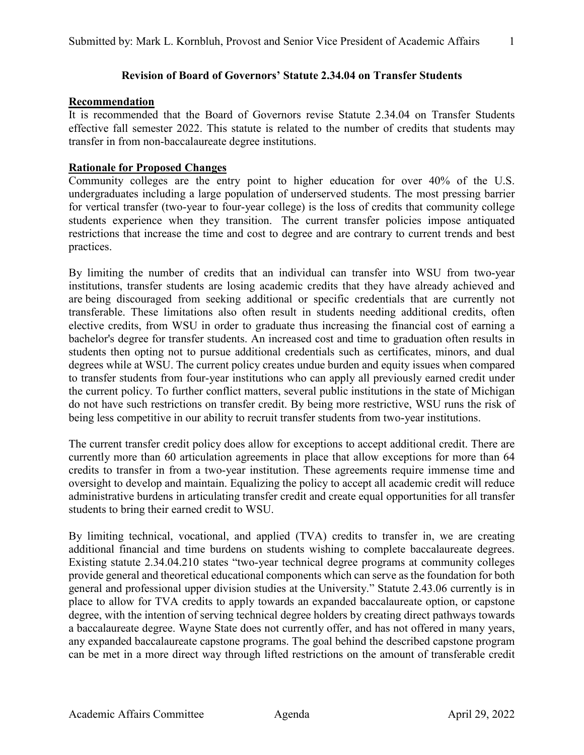# **Recommendation**

It is recommended that the Board of Governors revise Statute 2.34.04 on Transfer Students effective fall semester 2022. This statute is related to the number of credits that students may transfer in from non-baccalaureate degree institutions.

# **Rationale for Proposed Changes**

Community colleges are the entry point to higher education for over 40% of the U.S. undergraduates including a large population of underserved students. The most pressing barrier for vertical transfer (two-year to four-year college) is the loss of credits that community college students experience when they transition. The current transfer policies impose antiquated restrictions that increase the time and cost to degree and are contrary to current trends and best practices.

By limiting the number of credits that an individual can transfer into WSU from two-year institutions, transfer students are losing academic credits that they have already achieved and are being discouraged from seeking additional or specific credentials that are currently not transferable. These limitations also often result in students needing additional credits, often elective credits, from WSU in order to graduate thus increasing the financial cost of earning a bachelor's degree for transfer students. An increased cost and time to graduation often results in students then opting not to pursue additional credentials such as certificates, minors, and dual degrees while at WSU. The current policy creates undue burden and equity issues when compared to transfer students from four-year institutions who can apply all previously earned credit under the current policy. To further conflict matters, several public institutions in the state of Michigan do not have such restrictions on transfer credit. By being more restrictive, WSU runs the risk of being less competitive in our ability to recruit transfer students from two-year institutions.

The current transfer credit policy does allow for exceptions to accept additional credit. There are currently more than 60 articulation agreements in place that allow exceptions for more than 64 credits to transfer in from a two-year institution. These agreements require immense time and oversight to develop and maintain. Equalizing the policy to accept all academic credit will reduce administrative burdens in articulating transfer credit and create equal opportunities for all transfer students to bring their earned credit to WSU.

By limiting technical, vocational, and applied (TVA) credits to transfer in, we are creating additional financial and time burdens on students wishing to complete baccalaureate degrees. Existing statute 2.34.04.210 states "two-year technical degree programs at community colleges provide general and theoretical educational components which can serve as the foundation for both general and professional upper division studies at the University." Statute 2.43.06 currently is in place to allow for TVA credits to apply towards an expanded baccalaureate option, or capstone degree, with the intention of serving technical degree holders by creating direct pathways towards a baccalaureate degree. Wayne State does not currently offer, and has not offered in many years, any expanded baccalaureate capstone programs. The goal behind the described capstone program can be met in a more direct way through lifted restrictions on the amount of transferable credit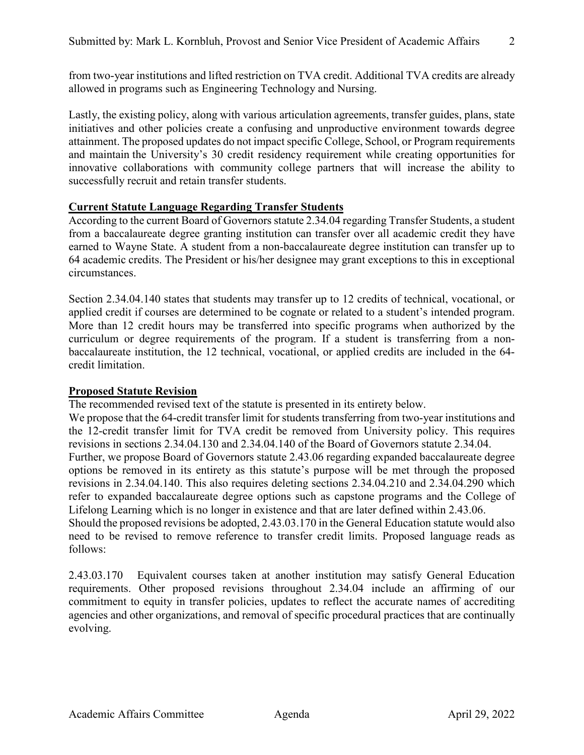Lastly, the existing policy, along with various articulation agreements, transfer guides, plans, state initiatives and other policies create a confusing and unproductive environment towards degree attainment. The proposed updates do not impact specific College, School, or Program requirements and maintain the University's 30 credit residency requirement while creating opportunities for innovative collaborations with community college partners that will increase the ability to successfully recruit and retain transfer students.

# **Current Statute Language Regarding Transfer Students**

According to the current Board of Governors statute 2.34.04 regarding Transfer Students, a student from a baccalaureate degree granting institution can transfer over all academic credit they have earned to Wayne State. A student from a non-baccalaureate degree institution can transfer up to 64 academic credits. The President or his/her designee may grant exceptions to this in exceptional circumstances.

Section 2.34.04.140 states that students may transfer up to 12 credits of technical, vocational, or applied credit if courses are determined to be cognate or related to a student's intended program. More than 12 credit hours may be transferred into specific programs when authorized by the curriculum or degree requirements of the program. If a student is transferring from a nonbaccalaureate institution, the 12 technical, vocational, or applied credits are included in the 64 credit limitation.

## **Proposed Statute Revision**

The recommended revised text of the statute is presented in its entirety below.

We propose that the 64-credit transfer limit for students transferring from two-year institutions and the 12-credit transfer limit for TVA credit be removed from University policy. This requires revisions in sections 2.34.04.130 and 2.34.04.140 of the Board of Governors statute 2.34.04. Further, we propose Board of Governors statute 2.43.06 regarding expanded baccalaureate degree options be removed in its entirety as this statute's purpose will be met through the proposed revisions in 2.34.04.140. This also requires deleting sections 2.34.04.210 and 2.34.04.290 which refer to expanded baccalaureate degree options such as capstone programs and the College of Lifelong Learning which is no longer in existence and that are later defined within 2.43.06.

Should the proposed revisions be adopted, 2.43.03.170 in the General Education statute would also need to be revised to remove reference to transfer credit limits. Proposed language reads as follows:

2.43.03.170 Equivalent courses taken at another institution may satisfy General Education requirements. Other proposed revisions throughout 2.34.04 include an affirming of our commitment to equity in transfer policies, updates to reflect the accurate names of accrediting agencies and other organizations, and removal of specific procedural practices that are continually evolving.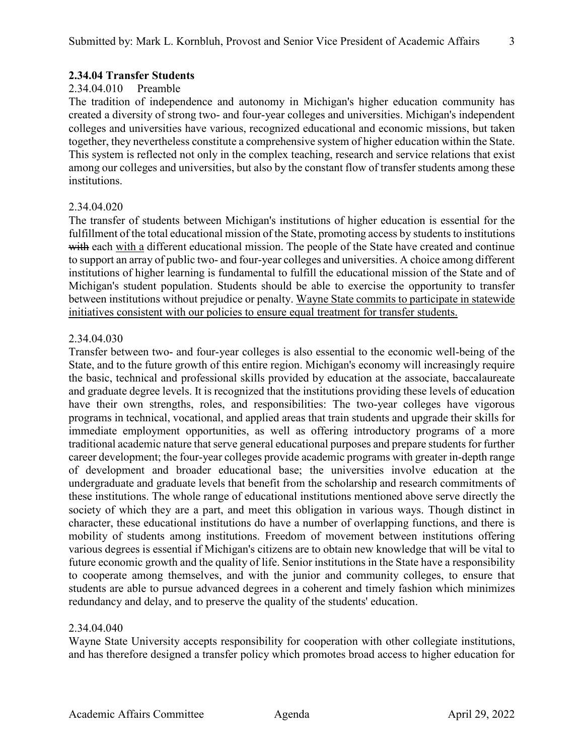## **2.34.04 Transfer Students**

#### 2.34.04.010 Preamble

The tradition of independence and autonomy in Michigan's higher education community has created a diversity of strong two- and four-year colleges and universities. Michigan's independent colleges and universities have various, recognized educational and economic missions, but taken together, they nevertheless constitute a comprehensive system of higher education within the State. This system is reflected not only in the complex teaching, research and service relations that exist among our colleges and universities, but also by the constant flow of transfer students among these institutions.

#### 2.34.04.020

The transfer of students between Michigan's institutions of higher education is essential for the fulfillment of the total educational mission of the State, promoting access by students to institutions with each with a different educational mission. The people of the State have created and continue to support an array of public two- and four-year colleges and universities. A choice among different institutions of higher learning is fundamental to fulfill the educational mission of the State and of Michigan's student population. Students should be able to exercise the opportunity to transfer between institutions without prejudice or penalty. Wayne State commits to participate in statewide initiatives consistent with our policies to ensure equal treatment for transfer students.

#### 2.34.04.030

Transfer between two- and four-year colleges is also essential to the economic well-being of the State, and to the future growth of this entire region. Michigan's economy will increasingly require the basic, technical and professional skills provided by education at the associate, baccalaureate and graduate degree levels. It is recognized that the institutions providing these levels of education have their own strengths, roles, and responsibilities: The two-year colleges have vigorous programs in technical, vocational, and applied areas that train students and upgrade their skills for immediate employment opportunities, as well as offering introductory programs of a more traditional academic nature that serve general educational purposes and prepare students for further career development; the four-year colleges provide academic programs with greater in-depth range of development and broader educational base; the universities involve education at the undergraduate and graduate levels that benefit from the scholarship and research commitments of these institutions. The whole range of educational institutions mentioned above serve directly the society of which they are a part, and meet this obligation in various ways. Though distinct in character, these educational institutions do have a number of overlapping functions, and there is mobility of students among institutions. Freedom of movement between institutions offering various degrees is essential if Michigan's citizens are to obtain new knowledge that will be vital to future economic growth and the quality of life. Senior institutions in the State have a responsibility to cooperate among themselves, and with the junior and community colleges, to ensure that students are able to pursue advanced degrees in a coherent and timely fashion which minimizes redundancy and delay, and to preserve the quality of the students' education.

## 2.34.04.040

Wayne State University accepts responsibility for cooperation with other collegiate institutions, and has therefore designed a transfer policy which promotes broad access to higher education for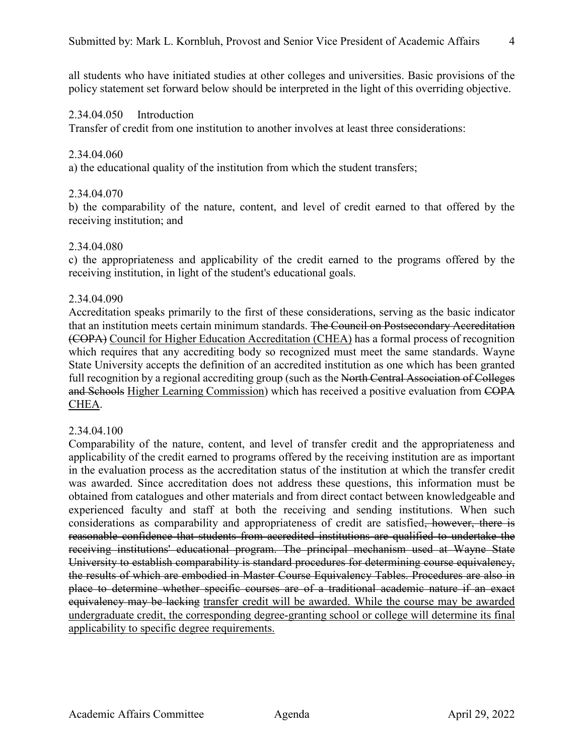all students who have initiated studies at other colleges and universities. Basic provisions of the policy statement set forward below should be interpreted in the light of this overriding objective.

#### 2.34.04.050 Introduction

Transfer of credit from one institution to another involves at least three considerations:

#### 2.34.04.060

a) the educational quality of the institution from which the student transfers;

#### 2.34.04.070

b) the comparability of the nature, content, and level of credit earned to that offered by the receiving institution; and

#### 2.34.04.080

c) the appropriateness and applicability of the credit earned to the programs offered by the receiving institution, in light of the student's educational goals.

#### 2.34.04.090

Accreditation speaks primarily to the first of these considerations, serving as the basic indicator that an institution meets certain minimum standards. The Council on Postsecondary Accreditation (COPA) Council for Higher Education Accreditation (CHEA) has a formal process of recognition which requires that any accrediting body so recognized must meet the same standards. Wayne State University accepts the definition of an accredited institution as one which has been granted full recognition by a regional accrediting group (such as the North Central Association of Colleges and Schools Higher Learning Commission) which has received a positive evaluation from COPA CHEA.

#### 2.34.04.100

Comparability of the nature, content, and level of transfer credit and the appropriateness and applicability of the credit earned to programs offered by the receiving institution are as important in the evaluation process as the accreditation status of the institution at which the transfer credit was awarded. Since accreditation does not address these questions, this information must be obtained from catalogues and other materials and from direct contact between knowledgeable and experienced faculty and staff at both the receiving and sending institutions. When such considerations as comparability and appropriateness of credit are satisfied, however, there is reasonable confidence that students from accredited institutions are qualified to undertake the receiving institutions' educational program. The principal mechanism used at Wayne State University to establish comparability is standard procedures for determining course equivalency, the results of which are embodied in Master Course Equivalency Tables. Procedures are also in place to determine whether specific courses are of a traditional academic nature if an exact equivalency may be lacking transfer credit will be awarded. While the course may be awarded undergraduate credit, the corresponding degree-granting school or college will determine its final applicability to specific degree requirements.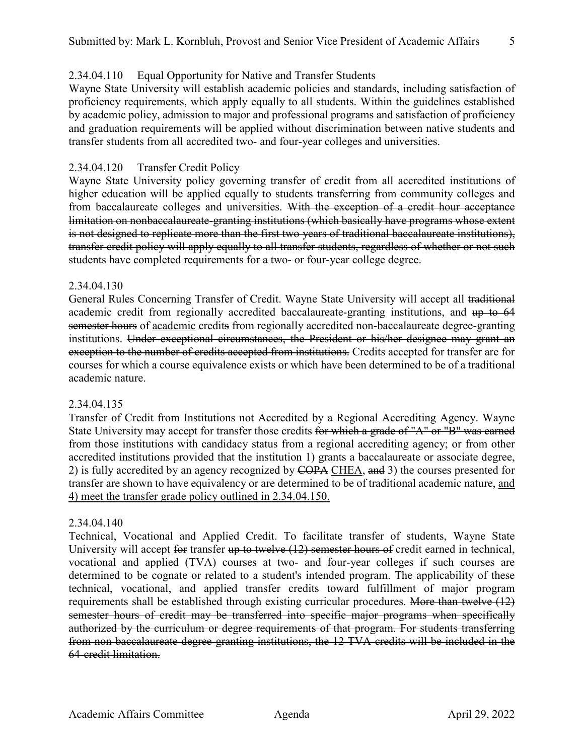# 2.34.04.110 Equal Opportunity for Native and Transfer Students

Wayne State University will establish academic policies and standards, including satisfaction of proficiency requirements, which apply equally to all students. Within the guidelines established by academic policy, admission to major and professional programs and satisfaction of proficiency and graduation requirements will be applied without discrimination between native students and transfer students from all accredited two- and four-year colleges and universities.

# 2.34.04.120 Transfer Credit Policy

Wayne State University policy governing transfer of credit from all accredited institutions of higher education will be applied equally to students transferring from community colleges and from baccalaureate colleges and universities. With the exception of a credit hour acceptance limitation on nonbaccalaureate-granting institutions (which basically have programs whose extent is not designed to replicate more than the first two years of traditional baccalaureate institutions), transfer credit policy will apply equally to all transfer students, regardless of whether or not such students have completed requirements for a two- or four-year college degree.

# 2.34.04.130

General Rules Concerning Transfer of Credit. Wayne State University will accept all traditional academic credit from regionally accredited baccalaureate-granting institutions, and up to 64 semester hours of academic credits from regionally accredited non-baccalaureate degree-granting institutions. Under exceptional circumstances, the President or his/her designee may grant an exception to the number of credits accepted from institutions. Credits accepted for transfer are for courses for which a course equivalence exists or which have been determined to be of a traditional academic nature.

## 2.34.04.135

Transfer of Credit from Institutions not Accredited by a Regional Accrediting Agency. Wayne State University may accept for transfer those credits for which a grade of "A" or "B" was earned from those institutions with candidacy status from a regional accrediting agency; or from other accredited institutions provided that the institution 1) grants a baccalaureate or associate degree, 2) is fully accredited by an agency recognized by COPA CHEA, and 3) the courses presented for transfer are shown to have equivalency or are determined to be of traditional academic nature, and 4) meet the transfer grade policy outlined in 2.34.04.150.

## 2.34.04.140

Technical, Vocational and Applied Credit. To facilitate transfer of students, Wayne State University will accept for transfer up to twelve (12) semester hours of credit earned in technical, vocational and applied (TVA) courses at two- and four-year colleges if such courses are determined to be cognate or related to a student's intended program. The applicability of these technical, vocational, and applied transfer credits toward fulfillment of major program requirements shall be established through existing curricular procedures. More than twelve (12) semester hours of credit may be transferred into specific major programs when specifically authorized by the curriculum or degree requirements of that program. For students transferring from non-baccalaureate degree-granting institutions, the 12 TVA credits will be included in the 64-credit limitation.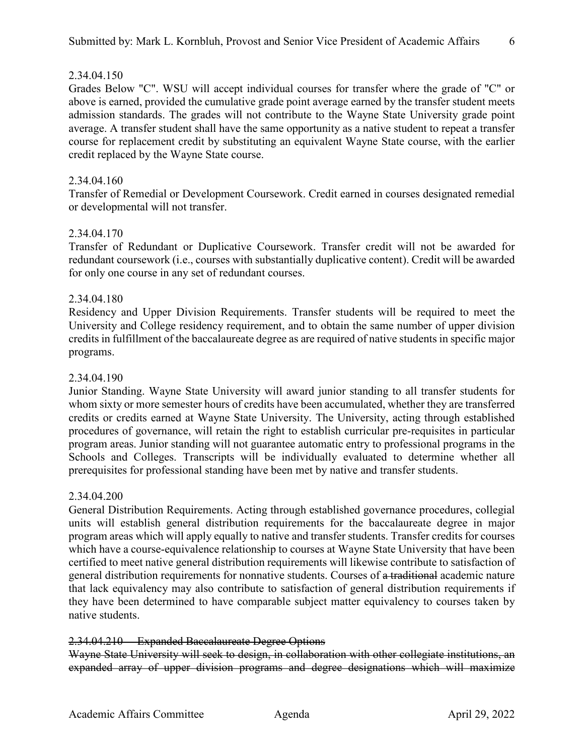## 2.34.04.150

Grades Below "C". WSU will accept individual courses for transfer where the grade of "C" or above is earned, provided the cumulative grade point average earned by the transfer student meets admission standards. The grades will not contribute to the Wayne State University grade point average. A transfer student shall have the same opportunity as a native student to repeat a transfer course for replacement credit by substituting an equivalent Wayne State course, with the earlier credit replaced by the Wayne State course.

## 2.34.04.160

Transfer of Remedial or Development Coursework. Credit earned in courses designated remedial or developmental will not transfer.

## 2.34.04.170

Transfer of Redundant or Duplicative Coursework. Transfer credit will not be awarded for redundant coursework (i.e., courses with substantially duplicative content). Credit will be awarded for only one course in any set of redundant courses.

## 2.34.04.180

Residency and Upper Division Requirements. Transfer students will be required to meet the University and College residency requirement, and to obtain the same number of upper division credits in fulfillment of the baccalaureate degree as are required of native students in specific major programs.

## 2.34.04.190

Junior Standing. Wayne State University will award junior standing to all transfer students for whom sixty or more semester hours of credits have been accumulated, whether they are transferred credits or credits earned at Wayne State University. The University, acting through established procedures of governance, will retain the right to establish curricular pre-requisites in particular program areas. Junior standing will not guarantee automatic entry to professional programs in the Schools and Colleges. Transcripts will be individually evaluated to determine whether all prerequisites for professional standing have been met by native and transfer students.

#### 2.34.04.200

General Distribution Requirements. Acting through established governance procedures, collegial units will establish general distribution requirements for the baccalaureate degree in major program areas which will apply equally to native and transfer students. Transfer credits for courses which have a course-equivalence relationship to courses at Wayne State University that have been certified to meet native general distribution requirements will likewise contribute to satisfaction of general distribution requirements for nonnative students. Courses of a traditional academic nature that lack equivalency may also contribute to satisfaction of general distribution requirements if they have been determined to have comparable subject matter equivalency to courses taken by native students.

#### 2.34.04.210 Expanded Baccalaureate Degree Options

Wayne State University will seek to design, in collaboration with other collegiate institutions, an expanded array of upper division programs and degree designations which will maximize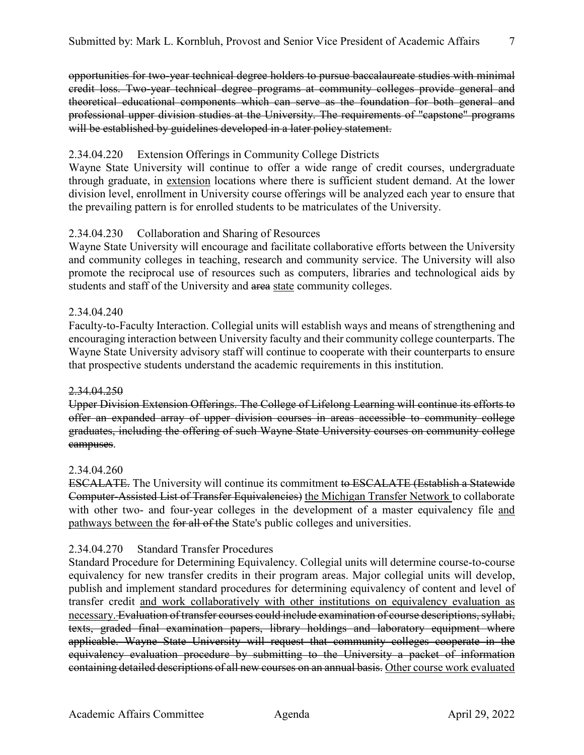opportunities for two-year technical degree holders to pursue baccalaureate studies with minimal credit loss. Two-year technical degree programs at community colleges provide general and theoretical educational components which can serve as the foundation for both general and professional upper division studies at the University. The requirements of "capstone" programs will be established by guidelines developed in a later policy statement.

# 2.34.04.220 Extension Offerings in Community College Districts

Wayne State University will continue to offer a wide range of credit courses, undergraduate through graduate, in extension locations where there is sufficient student demand. At the lower division level, enrollment in University course offerings will be analyzed each year to ensure that the prevailing pattern is for enrolled students to be matriculates of the University.

# 2.34.04.230 Collaboration and Sharing of Resources

Wayne State University will encourage and facilitate collaborative efforts between the University and community colleges in teaching, research and community service. The University will also promote the reciprocal use of resources such as computers, libraries and technological aids by students and staff of the University and area state community colleges.

## 2.34.04.240

Faculty-to-Faculty Interaction. Collegial units will establish ways and means of strengthening and encouraging interaction between University faculty and their community college counterparts. The Wayne State University advisory staff will continue to cooperate with their counterparts to ensure that prospective students understand the academic requirements in this institution.

## 2.34.04.250

Upper Division Extension Offerings. The College of Lifelong Learning will continue its efforts to offer an expanded array of upper division courses in areas accessible to community college graduates, including the offering of such Wayne State University courses on community college campuses.

## 2.34.04.260

ESCALATE. The University will continue its commitment to ESCALATE (Establish a Statewide Computer-Assisted List of Transfer Equivalencies) the Michigan Transfer Network to collaborate with other two- and four-year colleges in the development of a master equivalency file and pathways between the for all of the State's public colleges and universities.

## 2.34.04.270 Standard Transfer Procedures

Standard Procedure for Determining Equivalency. Collegial units will determine course-to-course equivalency for new transfer credits in their program areas. Major collegial units will develop, publish and implement standard procedures for determining equivalency of content and level of transfer credit and work collaboratively with other institutions on equivalency evaluation as necessary. Evaluation of transfer courses could include examination of course descriptions, syllabi, texts, graded final examination papers, library holdings and laboratory equipment where applicable. Wayne State University will request that community colleges cooperate in the equivalency evaluation procedure by submitting to the University a packet of information containing detailed descriptions of all new courses on an annual basis. Other course work evaluated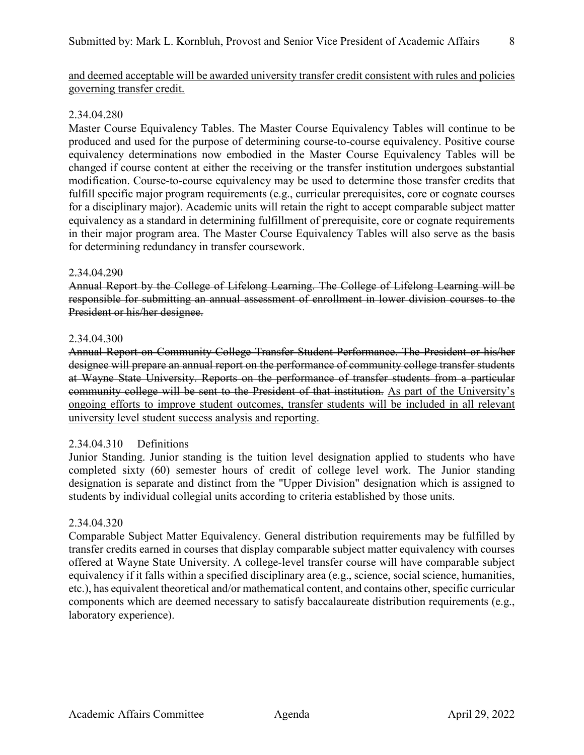and deemed acceptable will be awarded university transfer credit consistent with rules and policies governing transfer credit.

#### 2.34.04.280

Master Course Equivalency Tables. The Master Course Equivalency Tables will continue to be produced and used for the purpose of determining course-to-course equivalency. Positive course equivalency determinations now embodied in the Master Course Equivalency Tables will be changed if course content at either the receiving or the transfer institution undergoes substantial modification. Course-to-course equivalency may be used to determine those transfer credits that fulfill specific major program requirements (e.g., curricular prerequisites, core or cognate courses for a disciplinary major). Academic units will retain the right to accept comparable subject matter equivalency as a standard in determining fulfillment of prerequisite, core or cognate requirements in their major program area. The Master Course Equivalency Tables will also serve as the basis for determining redundancy in transfer coursework.

#### 2.34.04.290

Annual Report by the College of Lifelong Learning. The College of Lifelong Learning will be responsible for submitting an annual assessment of enrollment in lower division courses to the President or his/her designee.

#### 2.34.04.300

Annual Report on Community College Transfer Student Performance. The President or his/her designee will prepare an annual report on the performance of community college transfer students at Wayne State University. Reports on the performance of transfer students from a particular community college will be sent to the President of that institution. As part of the University's ongoing efforts to improve student outcomes, transfer students will be included in all relevant university level student success analysis and reporting.

## 2.34.04.310 Definitions

Junior Standing. Junior standing is the tuition level designation applied to students who have completed sixty (60) semester hours of credit of college level work. The Junior standing designation is separate and distinct from the "Upper Division" designation which is assigned to students by individual collegial units according to criteria established by those units.

## 2.34.04.320

Comparable Subject Matter Equivalency. General distribution requirements may be fulfilled by transfer credits earned in courses that display comparable subject matter equivalency with courses offered at Wayne State University. A college-level transfer course will have comparable subject equivalency if it falls within a specified disciplinary area (e.g., science, social science, humanities, etc.), has equivalent theoretical and/or mathematical content, and contains other, specific curricular components which are deemed necessary to satisfy baccalaureate distribution requirements (e.g., laboratory experience).